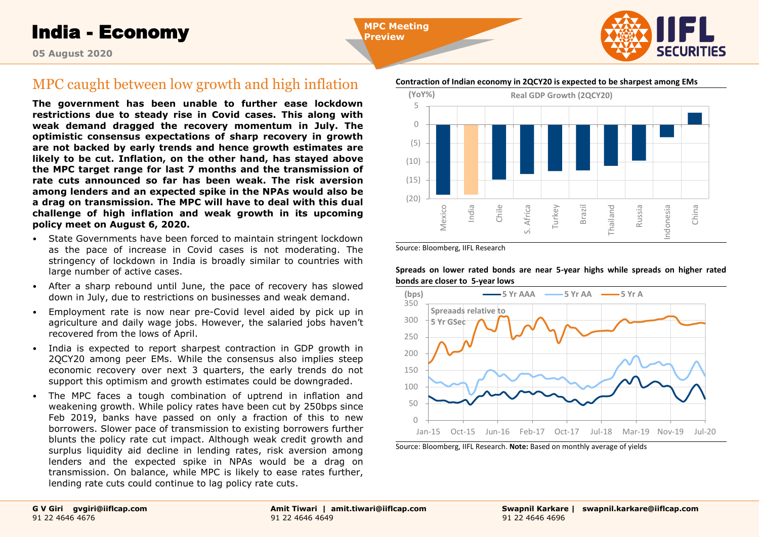India - Economy

**MPC Meeting Preview**



**05 August 2020**

# MPC caught between low growth and high inflation

**The government has been unable to further ease lockdown restrictions due to steady rise in Covid cases. This along with weak demand dragged the recovery momentum in July. The optimistic consensus expectations of sharp recovery in growth are not backed by early trends and hence growth estimates are likely to be cut. Inflation, on the other hand, has stayed above the MPC target range for last 7 months and the transmission of rate cuts announced so far has been weak. The risk aversion among lenders and an expected spike in the NPAs would also be a drag on transmission. The MPC will have to deal with this dual challenge of high inflation and weak growth in its upcoming policy meet on August 6, 2020.** 

- State Governments have been forced to maintain stringent lockdown as the pace of increase in Covid cases is not moderating. The stringency of lockdown in India is broadly similar to countries with large number of active cases.
- After a sharp rebound until June, the pace of recovery has slowed down in July, due to restrictions on businesses and weak demand.
- Employment rate is now near pre-Covid level aided by pick up in agriculture and daily wage jobs. However, the salaried jobs haven't recovered from the lows of April.
- India is expected to report sharpest contraction in GDP growth in 2QCY20 among peer EMs. While the consensus also implies steep economic recovery over next 3 quarters, the early trends do not support this optimism and growth estimates could be downgraded.
- The MPC faces a tough combination of uptrend in inflation and weakening growth. While policy rates have been cut by 250bps since Feb 2019, banks have passed on only a fraction of this to new borrowers. Slower pace of transmission to existing borrowers further blunts the policy rate cut impact. Although weak credit growth and surplus liquidity aid decline in lending rates, risk aversion among lenders and the expected spike in NPAs would be a drag on transmission. On balance, while MPC is likely to ease rates further, lending rate cuts could continue to lag policy rate cuts.

### **Contraction of Indian economy in 2QCY20 is expected to be sharpest among EMs**



Source: Bloomberg, IIFL Research

**Spreads on lower rated bonds are near 5-year highs while spreads on higher rated bonds are closer to 5-year lows**



Source: Bloomberg, IIFL Research. **Note:** Based on monthly average of yields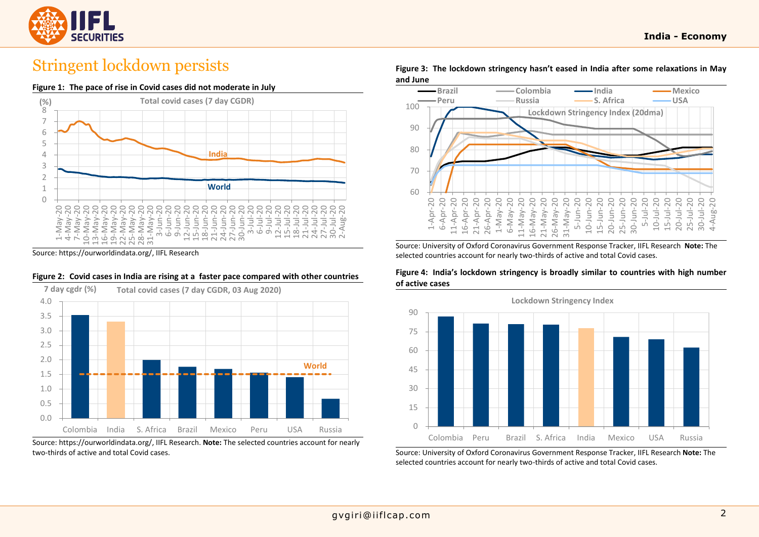

# Stringent lockdown persists

### **Figure 1: The pace of rise in Covid cases did not moderate in July**



Source: https://ourworldindata.org/, IIFL Research

### **Figure 2: Covid cases in India are rising at a faster pace compared with other countries**



Source: https://ourworldindata.org/, IIFL Research. **Note:** The selected countries account for nearly two-thirds of active and total Covid cases.

**Figure 3: The lockdown stringency hasn't eased in India after some relaxations in May and June**



Source: University of Oxford Coronavirus Government Response Tracker, IIFL Research **Note:** The selected countries account for nearly two-thirds of active and total Covid cases.

**Figure 4: India's lockdown stringency is broadly similar to countries with high number of active cases**



Source: University of Oxford Coronavirus Government Response Tracker, IIFL Research **Note:** The selected countries account for nearly two-thirds of active and total Covid cases.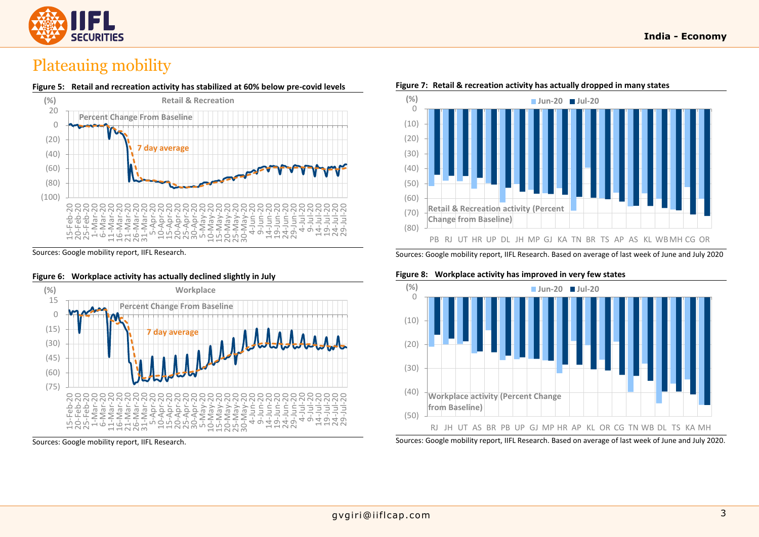

# Plateauing mobility



Sources: Google mobility report, IIFL Research.



### **Figure 6: Workplace activity has actually declined slightly in July**

Sources: Google mobility report, IIFL Research.



#### **Figure 7: Retail & recreation activity has actually dropped in many states**

Sources: Google mobility report, IIFL Research. Based on average of last week of June and July 2020

#### **Figure 8: Workplace activity has improved in very few states**



Sources: Google mobility report, IIFL Research. Based on average of last week of June and July 2020.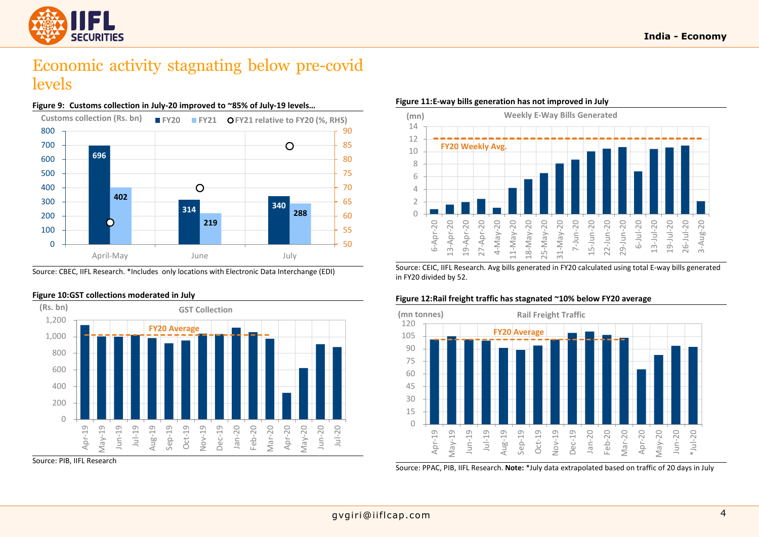

# Economic activity stagnating below pre-covid levels



**Figure 9: Customs collection in July-20 improved to ~85% of July-19 levels…**

Source: CBEC, IIFL Research. \*Includes only locations with Electronic Data Interchange (EDI)



#### **Figure 10:GST collections moderated in July**

Source: PIB, IIFL Research

### **Figure 11:E-way bills generation has not improved in July**



Source: CEIC, IIFL Research. Avg bills generated in FY20 calculated using total E-way bills generated in FY20 divided by 52.

# **Figure 12:Rail freight traffic has stagnated ~10% below FY20 average**



Source: PPAC, PIB, IIFL Research. **Note:** \*July data extrapolated based on traffic of 20 days in July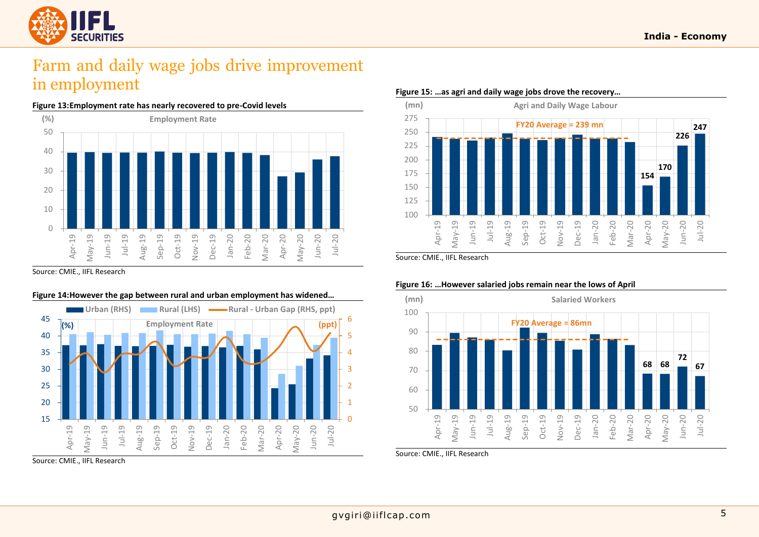

# Farm and daily wage jobs drive improvement in employment



Source: CMIE., IIFL Research



**Figure 14:However the gap between rural and urban employment has widened…**

#### **Figure 15: …as agri and daily wage jobs drove the recovery…**



Source: CMIE., IIFL Research



#### **Figure 16: …However salaried jobs remain near the lows of April**

Source: CMIE., IIFL Research

Source: CMIE., IIFL Research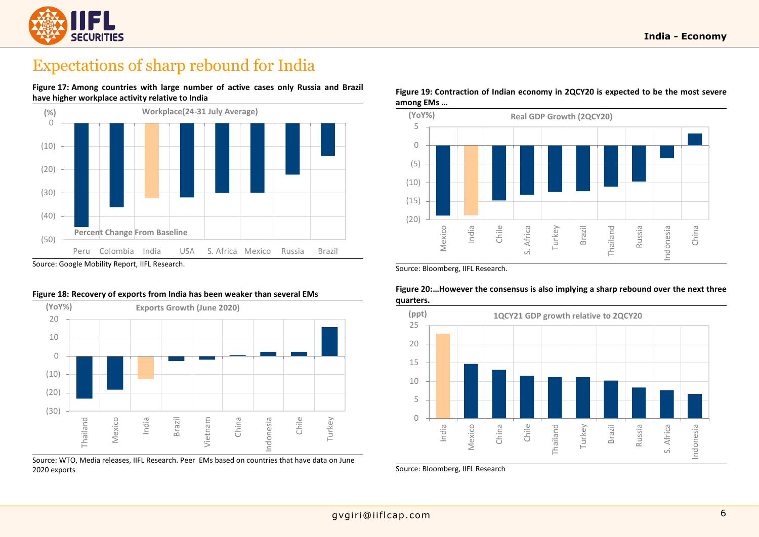

# Expectations of sharp rebound for India

**Figure 17: Among countries with large number of active cases only Russia and Brazil have higher workplace activity relative to India**



#### **Figure 18: Recovery of exports from India has been weaker than several EMs**



Source: WTO, Media releases, IIFL Research. Peer EMs based on countries that have data on June 2020 exports

## **Figure 19: Contraction of Indian economy in 2QCY20 is expected to be the most severe among EMs …**



Source: Bloomberg, IIFL Research.



### **Figure 20:…However the consensus is also implying a sharp rebound over the next three quarters.**

Source: Bloomberg, IIFL Research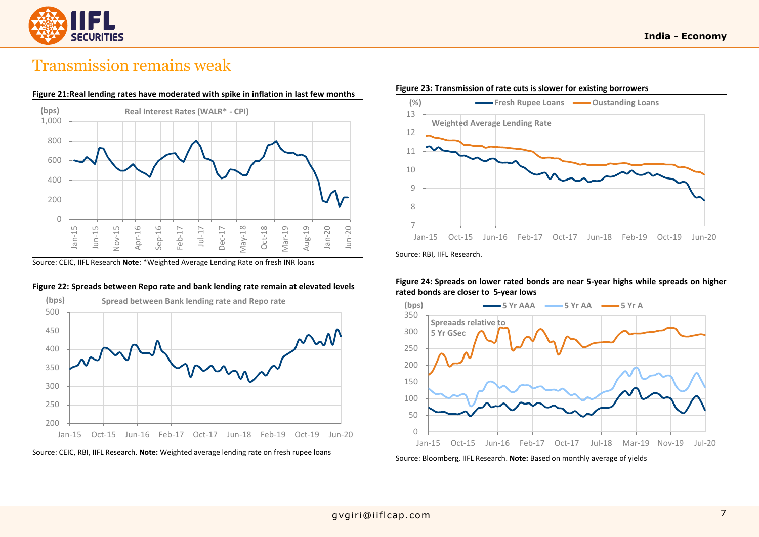

# Transmission remains weak



Source: CEIC, IIFL Research **Note**: \*Weighted Average Lending Rate on fresh INR loans





#### **Figure 23: Transmission of rate cuts is slower for existing borrowers**

Source: RBI, IIFL Research.





Source: Bloomberg, IIFL Research. **Note:** Based on monthly average of yields

Source: CEIC, RBI, IIFL Research. **Note:** Weighted average lending rate on fresh rupee loans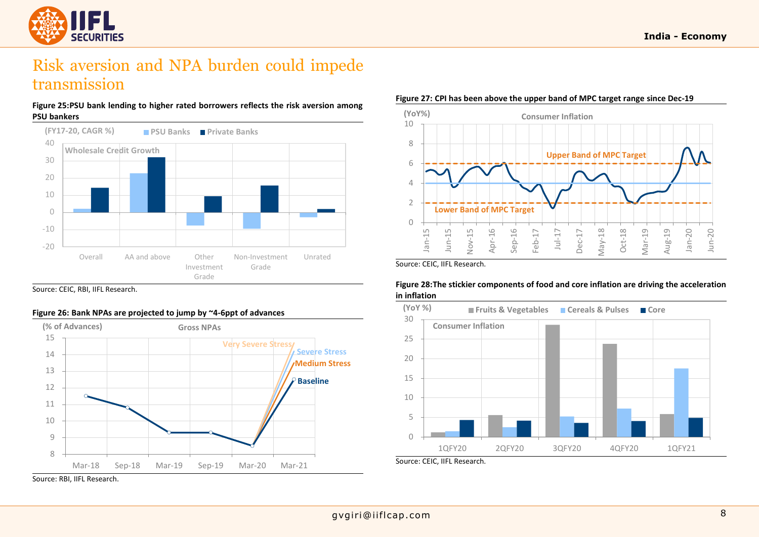

# Risk aversion and NPA burden could impede transmission

### **Figure 25:PSU bank lending to higher rated borrowers reflects the risk aversion among PSU bankers**



Source: CEIC, RBI, IIFL Research.

# **Figure 26: Bank NPAs are projected to jump by ~4-6ppt of advances**



Source: RBI, IIFL Research.

#### **Figure 27: CPI has been above the upper band of MPC target range since Dec-19**



Source: CEIC, IIFL Research.



## **Figure 28:The stickier components of food and core inflation are driving the acceleration in inflation**

Source: CEIC, IIFL Research.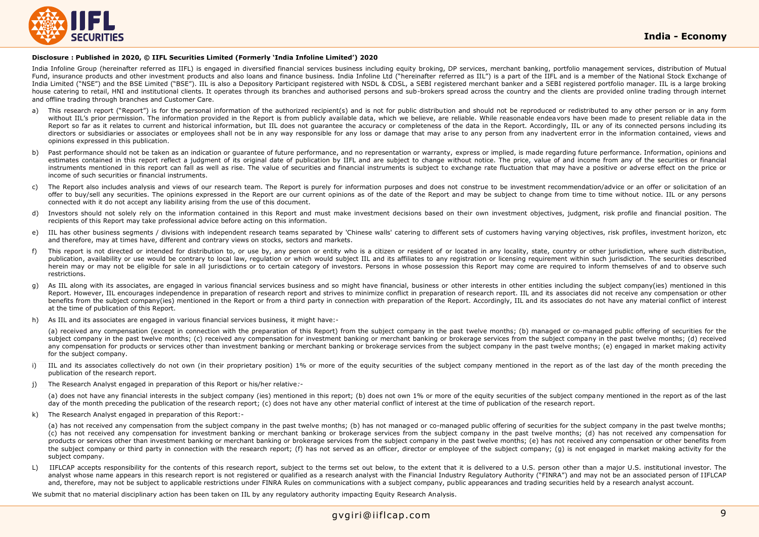

#### **Disclosure : Published in 2020, © IIFL Securities Limited (Formerly 'India Infoline Limited') 2020**

India Infoline Group (hereinafter referred as IIFL) is engaged in diversified financial services business including equity broking, DP services, merchant banking, portfolio management services, distribution of Mutual Fund, insurance products and other investment products and also loans and finance business. India Infoline Ltd ("hereinafter referred as IIL") is a part of the IIFL and is a member of the National Stock Exchange of India Limited ("NSE") and the BSE Limited ("BSE"). IIL is also a Depository Participant registered with NSDL & CDSL, a SEBI registered merchant banker and a SEBI registered portfolio manager. IIL is a large broking house catering to retail, HNI and institutional clients. It operates through its branches and authorised persons and sub-brokers spread across the country and the clients are provided online trading through internet and offline trading through branches and Customer Care.

- This research report ("Report") is for the personal information of the authorized recipient(s) and is not for public distribution and should not be reproduced or redistributed to any other person or in any form without III's prior permission. The information provided in the Report is from publicly available data, which we believe, are reliable, While reasonable endeavors have been made to present reliable data in the Report so far as it relates to current and historical information, but IIL does not quarantee the accuracy or completeness of the data in the Report. Accordingly, IIL or any of its connected persons including its directors or subsidiaries or associates or employees shall not be in any way responsible for any loss or damage that may arise to any person from any inadvertent error in the information contained, views and opinions expressed in this publication.
- b) Past performance should not be taken as an indication or quarantee of future performance, and no representation or warranty, express or implied, is made regarding future performance. Information, opinions and estimates contained in this report reflect a judgment of its original date of publication by IIFL and are subject to change without notice. The price, value of and income from any of the securities or financial instruments mentioned in this report can fall as well as rise. The value of securities and financial instruments is subject to exchange rate fluctuation that may have a positive or adverse effect on the price or income of such securities or financial instruments.
- c) The Report also includes analysis and views of our research team. The Report is purely for information purposes and does not construe to be investment recommendation/advice or an offer or solicitation of an offer to buy/sell any securities. The opinions expressed in the Report are our current opinions as of the date of the Report and may be subject to change from time to time without notice. IIL or any persons connected with it do not accept any liability arising from the use of this document.
- d) Investors should not solely rely on the information contained in this Report and must make investment decisions based on their own investment objectives, judgment, risk profile and financial position. The recipients of this Report may take professional advice before acting on this information.
- e) IIL has other business segments / divisions with independent research teams separated by 'Chinese walls' catering to different sets of customers having varying objectives, risk profiles, investment horizon, etc and therefore, may at times have, different and contrary views on stocks, sectors and markets.
- f) This report is not directed or intended for distribution to, or use by, any person or entity who is a citizen or resident of or located in any locality, state, country or other jurisdiction, where such distribution, publication, availability or use would be contrary to local law, regulation or which would subject IIL and its affiliates to any registration or licensing requirement within such jurisdiction. The securities described herein may or may not be eligible for sale in all jurisdictions or to certain category of investors. Persons in whose possession this Report may come are required to inform themselves of and to observe such restrictions.
- g) As IIL along with its associates, are engaged in various financial services business and so might have financial, business or other interests in other entities including the subject company(ies) mentioned in this Report. However, IIL encourages independence in preparation of research report and strives to minimize conflict in preparation of research report. IIL and its associates did not receive any compensation or other benefits from the subject company(jes) mentioned in the Report or from a third party in connection with preparation of the Report. Accordingly, IIL and its associates do not have any material conflict of interest at the time of publication of this Report.
- As IIL and its associates are engaged in various financial services business, it might have:-

(a) received any compensation (except in connection with the preparation of this Report) from the subject company in the past twelve months; (b) managed or co-managed public offering of securities for the subject company in the past twelve months; (c) received any compensation for investment banking or merchant banking or brokerage services from the subject company in the past twelve months; (d) received any compensation for products or services other than investment banking or merchant banking or brokerage services from the subject company in the past twelve months; (e) engaged in market making activity for the subject company.

- i) IIL and its associates collectively do not own (in their proprietary position) 1% or more of the equity securities of the subject company mentioned in the report as of the last day of the month preceding the publication of the research report.
- j) The Research Analyst engaged in preparation of this Report or his/her relative*:-*

(a) does not have any financial interests in the subject company (ies) mentioned in this report; (b) does not own 1% or more of the equity securities of the subject company mentioned in the report as of the last day of the month preceding the publication of the research report; (c) does not have any other material conflict of interest at the time of publication of the research report.

k) The Research Analyst engaged in preparation of this Report:-

(a) has not received any compensation from the subject company in the past twelve months; (b) has not managed or co-managed public offering of securities for the subject company in the past twelve months; (c) has not received any compensation for investment banking or merchant banking or brokerage services from the subject company in the past twelve months; (d) has not received any compensation for products or services other than investment banking or merchant banking or brokerage services from the subject company in the past twelve months; (e) has not received any compensation or other benefits from the subject company or third party in connection with the research report; (f) has not served as an officer, director or employee of the subject company; (g) is not engaged in market making activity for the subject company.

L) IIFLCAP accepts responsibility for the contents of this research report, subject to the terms set out below, to the extent that it is delivered to a U.S. person other than a major U.S. institutional investor. The analyst whose name appears in this research report is not registered or qualified as a research analyst with the Financial Industry Regulatory Authority ("FINRA") and may not be an associated person of IIFLCAP and, therefore, may not be subject to applicable restrictions under FINRA Rules on communications with a subject company, public appearances and trading securities held by a research analyst account.

We submit that no material disciplinary action has been taken on IIL by any regulatory authority impacting Equity Research Analysis.